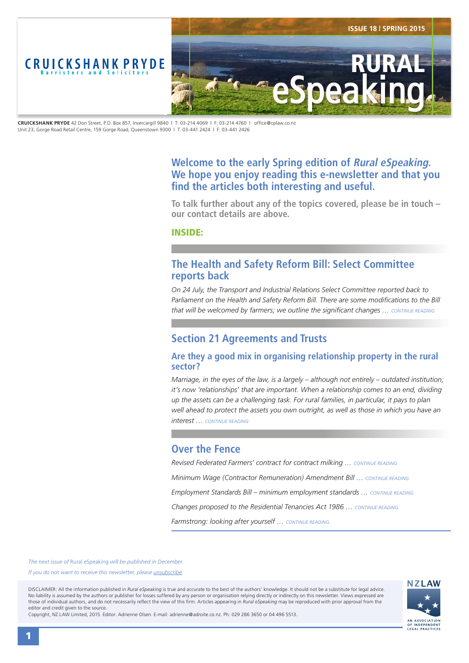<span id="page-0-0"></span>

**CRUICKSHANK PRYDE** 42 Don Street, P.O. Box 857, Invercargill 9840 | T: 03-214 4069 | F: 03-214 4760 | office@cplaw.co.nz Unit 23, Gorge Road Retail Centre, 159 Gorge Road, Queenstown 9300 | T: 03-441 2424 | F: 03-441 2426

# **Welcome to the early Spring edition of Rural eSpeaking. We hope you enjoy reading this e-newsletter and that you find the articles both interesting and useful.**

**To talk further about any of the topics covered, please be in touch – our contact details are above.**

INSIDE:

# **The Health and Safety Reform Bill: Select Committee reports back**

*On 24 July, the Transport and Industrial Relations Select Committee reported back to*  Parliament on the Health and Safety Reform Bill. There are some modifications to the Bill *that will be welcomed by farmers; we outline the significant changes … [CONTINUE READING](#page-1-0)*

# **Section 21 Agreements and Trusts**

## **Are they a good mix in organising relationship property in the rural sector?**

*Marriage, in the eyes of the law, is a largely – although not entirely – outdated institution; it's now 'relationships' that are important. When a relationship comes to an end, dividing up the assets can be a challenging task. For rural families, in particular, it pays to plan well ahead to protect the assets you own outright, as well as those in which you have an interest … [CONTINUE READING](#page-2-0)*

# **Over the Fence**

*Revised Federated Farmers' contract for contract milking … [CONTINUE READING](#page-3-0) Minimum Wage (Contractor Remuneration) Amendment Bill … [CONTINUE READING](#page-3-0) Employment Standards Bill – minimum employment standards ... [CONTINUE READING](#page-3-0) Changes proposed to the Residential Tenancies Act 1986 … [CONTINUE READING](#page-3-0) Farmstrong: looking after yourself … [CONTINUE READING](#page-3-0)*

*The next issue of* Rural eSpeaking *will be published in December.*

*If you do not want to receive this newsletter, please <i>unsubscribe*.

DISCLAIMER: All the information published in *Rural eSpeaking* is true and accurate to the best of the authors' knowledge. It should not be a substitute for legal advice. No liability is assumed by the authors or publisher for losses suffered by any person or organisation relying directly or indirectly on this newsletter. Views expressed are those of individual authors, and do not necessarily reflect the view of this firm. Articles appearing in *Rural eSpeaking* may be reproduced with prior approval from the editor and credit given to the source.



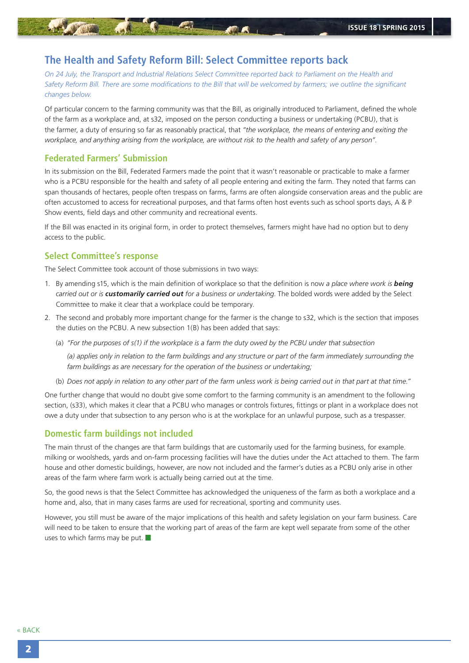# <span id="page-1-0"></span>**The Health and Safety Reform Bill: Select Committee reports back**

*On 24 July, the Transport and Industrial Relations Select Committee reported back to Parliament on the Health and Safety Reform Bill. There are some modifications to the Bill that will be welcomed by farmers; we outline the significant changes below.*

Of particular concern to the farming community was that the Bill, as originally introduced to Parliament, defined the whole of the farm as a workplace and, at s32, imposed on the person conducting a business or undertaking (PCBU), that is the farmer, a duty of ensuring so far as reasonably practical, that *"the workplace, the means of entering and exiting the workplace, and anything arising from the workplace, are without risk to the health and safety of any person"*.

### **Federated Farmers' Submission**

In its submission on the Bill, Federated Farmers made the point that it wasn't reasonable or practicable to make a farmer who is a PCBU responsible for the health and safety of all people entering and exiting the farm. They noted that farms can span thousands of hectares, people often trespass on farms, farms are often alongside conservation areas and the public are often accustomed to access for recreational purposes, and that farms often host events such as school sports days, A & P Show events, field days and other community and recreational events.

If the Bill was enacted in its original form, in order to protect themselves, farmers might have had no option but to deny access to the public.

### **Select Committee's response**

The Select Committee took account of those submissions in two ways:

- 1. By amending s15, which is the main definition of workplace so that the definition is now *a place where work is being carried out or is customarily carried out for a business or undertaking*. The bolded words were added by the Select Committee to make it clear that a workplace could be temporary.
- 2. The second and probably more important change for the farmer is the change to s32, which is the section that imposes the duties on the PCBU. A new subsection 1(B) has been added that says:
	- (a) *"For the purposes of s(1) if the workplace is a farm the duty owed by the PCBU under that subsection*

*(a) applies only in relation to the farm buildings and any structure or part of the farm immediately surrounding the farm buildings as are necessary for the operation of the business or undertaking;*

(b) *Does not apply in relation to any other part of the farm unless work is being carried out in that part at that time."*

One further change that would no doubt give some comfort to the farming community is an amendment to the following section, (s33), which makes it clear that a PCBU who manages or controls fixtures, fittings or plant in a workplace does not owe a duty under that subsection to any person who is at the workplace for an unlawful purpose, such as a trespasser.

#### **Domestic farm buildings not included**

The main thrust of the changes are that farm buildings that are customarily used for the farming business, for example. milking or woolsheds, yards and on-farm processing facilities will have the duties under the Act attached to them. The farm house and other domestic buildings, however, are now not included and the farmer's duties as a PCBU only arise in other areas of the farm where farm work is actually being carried out at the time.

So, the good news is that the Select Committee has acknowledged the uniqueness of the farm as both a workplace and a home and, also, that in many cases farms are used for recreational, sporting and community uses.

However, you still must be aware of the major implications of this health and safety legislation on your farm business. Care will need to be taken to ensure that the working part of areas of the farm are kept well separate from some of the other uses to which farms may be put.  $\blacksquare$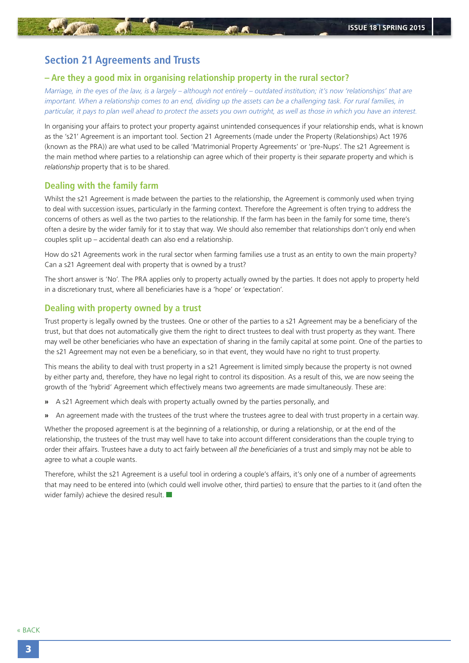# <span id="page-2-0"></span>**Section 21 Agreements and Trusts**

### **– Are they a good mix in organising relationship property in the rural sector?**

*Marriage, in the eyes of the law, is a largely – although not entirely – outdated institution; it's now 'relationships' that are important. When a relationship comes to an end, dividing up the assets can be a challenging task. For rural families, in particular, it pays to plan well ahead to protect the assets you own outright, as well as those in which you have an interest.*

In organising your affairs to protect your property against unintended consequences if your relationship ends, what is known as the 's21' Agreement is an important tool. Section 21 Agreements (made under the Property (Relationships) Act 1976 (known as the PRA)) are what used to be called 'Matrimonial Property Agreements' or 'pre-Nups'. The s21 Agreement is the main method where parties to a relationship can agree which of their property is their *separate* property and which is *relationship* property that is to be shared.

## **Dealing with the family farm**

Whilst the s21 Agreement is made between the parties to the relationship, the Agreement is commonly used when trying to deal with succession issues, particularly in the farming context. Therefore the Agreement is often trying to address the concerns of others as well as the two parties to the relationship. If the farm has been in the family for some time, there's often a desire by the wider family for it to stay that way. We should also remember that relationships don't only end when couples split up – accidental death can also end a relationship.

How do s21 Agreements work in the rural sector when farming families use a trust as an entity to own the main property? Can a s21 Agreement deal with property that is owned by a trust?

The short answer is 'No'. The PRA applies only to property actually owned by the parties. It does not apply to property held in a discretionary trust, where all beneficiaries have is a 'hope' or 'expectation'.

## **Dealing with property owned by a trust**

Trust property is legally owned by the trustees. One or other of the parties to a s21 Agreement may be a beneficiary of the trust, but that does not automatically give them the right to direct trustees to deal with trust property as they want. There may well be other beneficiaries who have an expectation of sharing in the family capital at some point. One of the parties to the s21 Agreement may not even be a beneficiary, so in that event, they would have no right to trust property.

This means the ability to deal with trust property in a s21 Agreement is limited simply because the property is not owned by either party and, therefore, they have no legal right to control its disposition. As a result of this, we are now seeing the growth of the 'hybrid' Agreement which effectively means two agreements are made simultaneously. These are:

- **»** A s21 Agreement which deals with property actually owned by the parties personally, and
- **»** An agreement made with the trustees of the trust where the trustees agree to deal with trust property in a certain way.

Whether the proposed agreement is at the beginning of a relationship, or during a relationship, or at the end of the relationship, the trustees of the trust may well have to take into account different considerations than the couple trying to order their affairs. Trustees have a duty to act fairly between *all the beneficiaries* of a trust and simply may not be able to agree to what a couple wants.

Therefore, whilst the s21 Agreement is a useful tool in ordering a couple's affairs, it's only one of a number of agreements that may need to be entered into (which could well involve other, third parties) to ensure that the parties to it (and often the wider family) achieve the desired result.  $\Box$